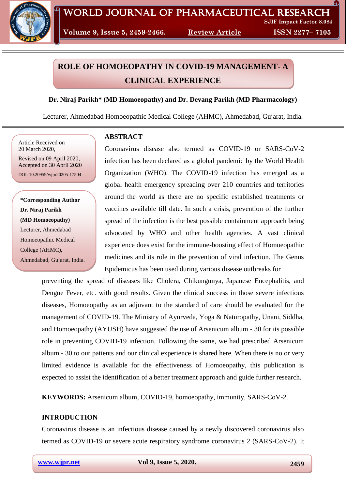

**Volume 9, Issue 5, 2459-2466. Review Article ISSN 2277– 7105**

# **ROLE OF HOMOEOPATHY IN COVID-19 MANAGEMENT- A CLINICAL EXPERIENCE**

# **Dr. Niraj Parikh\* (MD Homoeopathy) and Dr. Devang Parikh (MD Pharmacology)**

Lecturer, Ahmedabad Homoeopathic Medical College (AHMC), Ahmedabad, Gujarat, India.

Article Received on 20 March 2020,

Revised on 09 April 2020, Accepted on 30 April 2020 DOI: 10.20959/wjpr20205-17504

**\*Corresponding Author Dr. Niraj Parikh (MD Homoeopathy)** Lecturer, Ahmedabad Homoeopathic Medical College (AHMC), Ahmedabad, Gujarat, India.

# **ABSTRACT**

Coronavirus disease also termed as COVID-19 or SARS-CoV-2 infection has been declared as a global pandemic by the World Health Organization (WHO). The COVID-19 infection has emerged as a global health emergency spreading over 210 countries and territories around the world as there are no specific established treatments or vaccines available till date. In such a crisis, prevention of the further spread of the infection is the best possible containment approach being advocated by WHO and other health agencies. A vast clinical experience does exist for the immune-boosting effect of Homoeopathic medicines and its role in the prevention of viral infection. The Genus Epidemicus has been used during various disease outbreaks for

preventing the spread of diseases like Cholera, Chikungunya, Japanese Encephalitis, and Dengue Fever, etc. with good results. Given the clinical success in those severe infectious diseases, Homoeopathy as an adjuvant to the standard of care should be evaluated for the management of COVID-19. The Ministry of Ayurveda, Yoga & Naturopathy, Unani, Siddha, and Homoeopathy (AYUSH) have suggested the use of Arsenicum album - 30 for its possible role in preventing COVID-19 infection. Following the same, we had prescribed Arsenicum album - 30 to our patients and our clinical experience is shared here. When there is no or very limited evidence is available for the effectiveness of Homoeopathy, this publication is expected to assist the identification of a better treatment approach and guide further research.

**KEYWORDS:** Arsenicum album, COVID-19, homoeopathy, immunity, SARS-CoV-2.

# **INTRODUCTION**

Coronavirus disease is an infectious disease caused by a newly discovered coronavirus also termed as COVID-19 or severe acute respiratory syndrome coronavirus 2 (SARS-CoV-2). It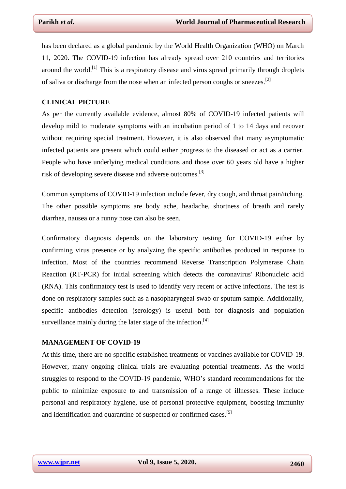has been declared as a global pandemic by the World Health Organization (WHO) on March 11, 2020. The COVID-19 infection has already spread over 210 countries and territories around the world.<sup>[1]</sup> This is a respiratory disease and virus spread primarily through droplets of saliva or discharge from the nose when an infected person coughs or sneezes.<sup>[2]</sup>

#### **CLINICAL PICTURE**

As per the currently available evidence, almost 80% of COVID-19 infected patients will develop mild to moderate symptoms with an incubation period of 1 to 14 days and recover without requiring special treatment. However, it is also observed that many asymptomatic infected patients are present which could either progress to the diseased or act as a carrier. People who have underlying medical conditions and those over 60 years old have a higher risk of developing severe disease and adverse outcomes.<sup>[3]</sup>

Common symptoms of COVID-19 infection include fever, dry cough, and throat pain/itching. The other possible symptoms are body ache, headache, shortness of breath and rarely diarrhea, nausea or a runny nose can also be seen.

Confirmatory diagnosis depends on the laboratory testing for COVID-19 either by confirming virus presence or by analyzing the specific antibodies produced in response to infection. Most of the countries recommend Reverse Transcription Polymerase Chain Reaction (RT-PCR) for initial screening which detects the coronavirus' Ribonucleic acid (RNA). This confirmatory test is used to identify very recent or active infections. The test is done on respiratory samples such as a nasopharyngeal swab or sputum sample. Additionally, specific antibodies detection (serology) is useful both for diagnosis and population surveillance mainly during the later stage of the infection.<sup>[4]</sup>

#### **MANAGEMENT OF COVID-19**

At this time, there are no specific established treatments or vaccines available for COVID-19. However, many ongoing clinical trials are evaluating potential treatments. As the world struggles to respond to the COVID-19 pandemic, WHO's standard recommendations for the public to minimize exposure to and transmission of a range of illnesses. These include personal and respiratory hygiene, use of personal protective equipment, boosting immunity and identification and quarantine of suspected or confirmed cases.<sup>[5]</sup>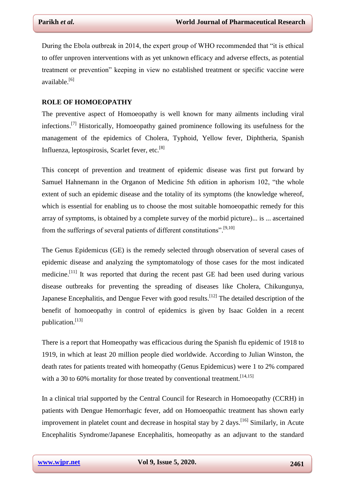During the Ebola outbreak in 2014, the expert group of WHO recommended that "it is ethical to offer unproven interventions with as yet unknown efficacy and adverse effects, as potential treatment or prevention" keeping in view no established treatment or specific vaccine were available.[6]

### **ROLE OF HOMOEOPATHY**

The preventive aspect of Homoeopathy is well known for many ailments including viral infections.[7] Historically, Homoeopathy gained prominence following its usefulness for the management of the epidemics of Cholera, Typhoid, Yellow fever, Diphtheria, Spanish Influenza, leptospirosis, Scarlet fever, etc.<sup>[8]</sup>

This concept of prevention and treatment of epidemic disease was first put forward by Samuel Hahnemann in the Organon of Medicine 5th edition in aphorism 102, "the whole extent of such an epidemic disease and the totality of its symptoms (the knowledge whereof, which is essential for enabling us to choose the most suitable homoeopathic remedy for this array of symptoms, is obtained by a complete survey of the morbid picture)... is ... ascertained from the sufferings of several patients of different constitutions".<sup>[9,10]</sup>

The Genus Epidemicus (GE) is the remedy selected through observation of several cases of epidemic disease and analyzing the symptomatology of those cases for the most indicated medicine.<sup>[11]</sup> It was reported that during the recent past GE had been used during various disease outbreaks for preventing the spreading of diseases like Cholera, Chikungunya, Japanese Encephalitis, and Dengue Fever with good results.<sup>[12]</sup> The detailed description of the benefit of homoeopathy in control of epidemics is given by Isaac Golden in a recent publication.[13]

There is a report that Homeopathy was efficacious during the Spanish flu epidemic of 1918 to 1919, in which at least 20 million people died worldwide. According to Julian Winston, the death rates for patients treated with homeopathy (Genus Epidemicus) were 1 to 2% compared with a 30 to 60% mortality for those treated by conventional treatment.  $[14,15]$ 

In a clinical trial supported by the Central Council for Research in Homoeopathy (CCRH) in patients with Dengue Hemorrhagic fever, add on Homoeopathic treatment has shown early improvement in platelet count and decrease in hospital stay by 2 days.<sup>[16]</sup> Similarly, in Acute Encephalitis Syndrome/Japanese Encephalitis, homeopathy as an adjuvant to the standard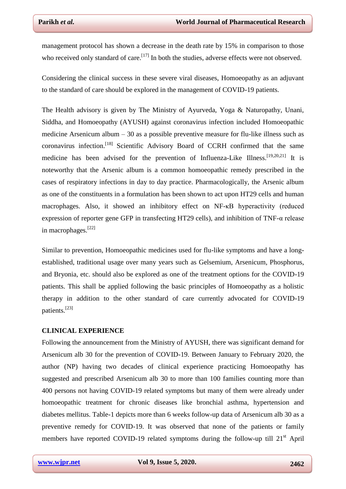management protocol has shown a decrease in the death rate by 15% in comparison to those who received only standard of care.<sup>[17]</sup> In both the studies, adverse effects were not observed.

Considering the clinical success in these severe viral diseases, Homoeopathy as an adjuvant to the standard of care should be explored in the management of COVID-19 patients.

The Health advisory is given by The Ministry of Ayurveda, Yoga & Naturopathy, Unani, Siddha, and Homoeopathy (AYUSH) against coronavirus infection included Homoeopathic medicine Arsenicum album – 30 as a possible preventive measure for flu-like illness such as coronavirus infection.[18] Scientific Advisory Board of CCRH confirmed that the same medicine has been advised for the prevention of Influenza-Like Illness.<sup>[19,20,21]</sup> It is noteworthy that the Arsenic album is a common homoeopathic remedy prescribed in the cases of respiratory infections in day to day practice. Pharmacologically, the Arsenic album as one of the constituents in a formulation has been shown to act upon HT29 cells and human macrophages. Also, it showed an inhibitory effect on NF-κB hyperactivity (reduced expression of reporter gene GFP in transfecting HT29 cells), and inhibition of TNF-α release in macrophages.[22]

Similar to prevention, Homoeopathic medicines used for flu-like symptoms and have a longestablished, traditional usage over many years such as Gelsemium, Arsenicum, Phosphorus, and Bryonia, etc. should also be explored as one of the treatment options for the COVID-19 patients. This shall be applied following the basic principles of Homoeopathy as a holistic therapy in addition to the other standard of care currently advocated for COVID-19 patients.[23]

#### **CLINICAL EXPERIENCE**

Following the announcement from the Ministry of AYUSH, there was significant demand for Arsenicum alb 30 for the prevention of COVID-19. Between January to February 2020, the author (NP) having two decades of clinical experience practicing Homoeopathy has suggested and prescribed Arsenicum alb 30 to more than 100 families counting more than 400 persons not having COVID-19 related symptoms but many of them were already under homoeopathic treatment for chronic diseases like bronchial asthma, hypertension and diabetes mellitus. Table-1 depicts more than 6 weeks follow-up data of Arsenicum alb 30 as a preventive remedy for COVID-19. It was observed that none of the patients or family members have reported COVID-19 related symptoms during the follow-up till  $21<sup>st</sup>$  April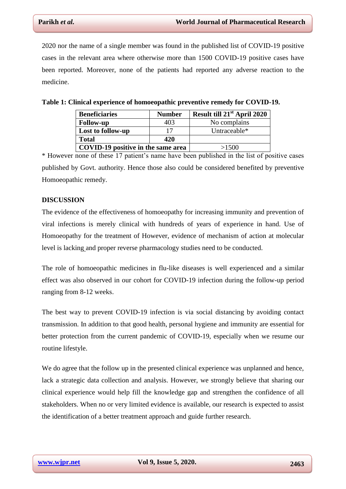2020 nor the name of a single member was found in the published list of COVID-19 positive cases in the relevant area where otherwise more than 1500 COVID-19 positive cases have been reported. Moreover, none of the patients had reported any adverse reaction to the medicine.

| <b>Beneficiaries</b>               | <b>Number</b> | Result till 21 <sup>st</sup> April 2020 |
|------------------------------------|---------------|-----------------------------------------|
| <b>Follow-up</b>                   | 403           | No complains                            |
| Lost to follow-up                  | 17            | Untraceable*                            |
| <b>Total</b>                       | 420           |                                         |
| COVID-19 positive in the same area |               | >1500                                   |

**Table 1: Clinical experience of homoeopathic preventive remedy for COVID-19.**

\* However none of these 17 patient's name have been published in the list of positive cases published by Govt. authority. Hence those also could be considered benefited by preventive Homoeopathic remedy.

#### **DISCUSSION**

The evidence of the effectiveness of homoeopathy for increasing immunity and prevention of viral infections is merely clinical with hundreds of years of experience in hand. Use of Homoeopathy for the treatment of However, evidence of mechanism of action at molecular level is lacking and proper reverse pharmacology studies need to be conducted.

The role of homoeopathic medicines in flu-like diseases is well experienced and a similar effect was also observed in our cohort for COVID-19 infection during the follow-up period ranging from 8-12 weeks.

The best way to prevent COVID-19 infection is via social distancing by avoiding contact transmission. In addition to that good health, personal hygiene and immunity are essential for better protection from the current pandemic of COVID-19, especially when we resume our routine lifestyle.

We do agree that the follow up in the presented clinical experience was unplanned and hence, lack a strategic data collection and analysis. However, we strongly believe that sharing our clinical experience would help fill the knowledge gap and strengthen the confidence of all stakeholders. When no or very limited evidence is available, our research is expected to assist the identification of a better treatment approach and guide further research.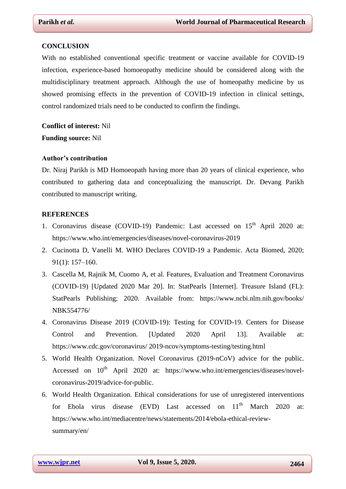#### **CONCLUSION**

With no established conventional specific treatment or vaccine available for COVID-19 infection, experience-based homoeopathy medicine should be considered along with the multidisciplinary treatment approach. Although the use of homeopathy medicine by us showed promising effects in the prevention of COVID-19 infection in clinical settings, control randomized trials need to be conducted to confirm the findings.

**Conflict of interest:** Nil **Funding source:** Nil

#### **Author's contribution**

Dr. Niraj Parikh is MD Homoeopath having more than 20 years of clinical experience, who contributed to gathering data and conceptualizing the manuscript. Dr. Devang Parikh contributed to manuscript writing.

#### **REFERENCES**

- 1. Coronavirus disease (COVID-19) Pandemic: Last accessed on 15<sup>th</sup> April 2020 at: https://www.who.int/emergencies/diseases/novel-coronavirus-2019
- 2. Cucinotta D, Vanelli M. WHO Declares COVID-19 a Pandemic. Acta Biomed, 2020; 91(1): 157–160.
- 3. Cascella M, Rajnik M, Cuomo A, et al. Features, Evaluation and Treatment Coronavirus (COVID-19) [Updated 2020 Mar 20]. In: StatPearls [Internet]. Treasure Island (FL): StatPearls Publishing; 2020. Available from: https://www.ncbi.nlm.nih.gov/books/ NBK554776/
- 4. Coronavirus Disease 2019 (COVID-19): Testing for COVID-19. Centers for Disease Control and Prevention. [Updated 2020 April 13]. Available at: <https://www.cdc.gov/coronavirus/> 2019-ncov/symptoms-testing/testing.html
- 5. World Health Organization. Novel Coronavirus (2019-nCoV) advice for the public. Accessed on  $10^{th}$  April 2020 at: https://www.who.int/emergencies/diseases/novelcoronavirus-2019/advice-for-public.
- 6. World Health Organization. Ethical considerations for use of unregistered interventions for Ebola virus disease  $(EVD)$  Last accessed on  $11<sup>th</sup>$  March 2020 at: https://www.who.int/mediacentre/news/statements/2014/ebola-ethical-reviewsummary/en/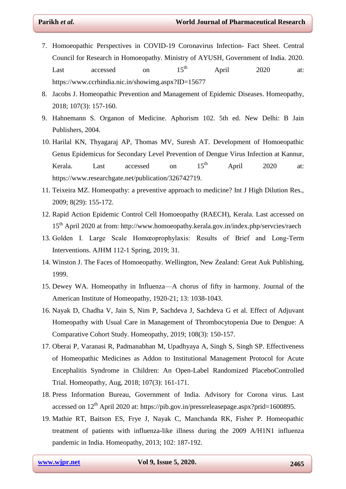- 7. Homoeopathic Perspectives in COVID-19 Coronavirus Infection- Fact Sheet. Central Council for Research in Homoeopathy. Ministry of AYUSH, Government of India. 2020. Last accessed on  $15<sup>th</sup>$  April 2020 at: https://www.ccrhindia.nic.in/showimg.aspx?ID=15677
- 8. Jacobs J. Homeopathic Prevention and Management of Epidemic Diseases. Homeopathy, 2018; 107(3): 157-160.
- 9. Hahnemann S. Organon of Medicine. Aphorism 102. 5th ed. New Delhi: B Jain Publishers, 2004.
- 10. Harilal KN, Thyagaraj AP, Thomas MV, Suresh AT. Development of Homoeopathic Genus Epidemicus for Secondary Level Prevention of Dengue Virus Infection at Kannur, Kerala. Last accessed on  $15<sup>th</sup>$  April 2020 at: https://www.researchgate.net/publication/326742719.
- 11. Teixeira MZ. Homeopathy: a preventive approach to medicine? Int J High Dilution Res., 2009; 8(29): 155-172.
- 12. Rapid Action Epidemic Control Cell Homoeopathy (RAECH), Kerala. Last accessed on 15<sup>th</sup> April 2020 at from: http://www.homoeopathy.kerala.gov.in/index.php/servcies/raech
- 13. Golden I. Large Scale Homœoprophylaxis: Results of Brief and Long-Term Interventions. AJHM 112-1 Spring, 2019; 31.
- 14. Winston J. The Faces of Homoeopathy. Wellington, New Zealand: Great Auk Publishing, 1999.
- 15. Dewey WA. Homeopathy in Influenza—A chorus of fifty in harmony. Journal of the American Institute of Homeopathy, 1920-21; 13: 1038-1043.
- 16. Nayak D, Chadha V, Jain S, Nim P, Sachdeva J, Sachdeva G et al. Effect of Adjuvant Homeopathy with Usual Care in Management of Thrombocytopenia Due to Dengue: A Comparative Cohort Study. Homeopathy, 2019; 108(3): 150-157.
- 17. Oberai P, Varanasi R, Padmanabhan M, Upadhyaya A, Singh S, Singh SP. Effectiveness of Homeopathic Medicines as Addon to Institutional Management Protocol for Acute Encephalitis Syndrome in Children: An Open-Label Randomized PlaceboControlled Trial. Homeopathy, Aug, 2018; 107(3): 161-171.
- 18. Press Information Bureau, Government of India. Advisory for Corona virus. Last accessed on 12<sup>th</sup> April 2020 at: https://pib.gov.in/pressreleasepage.aspx?prid=1600895.
- 19. Mathie RT, Baitson ES, Frye J, Nayak C, Manchanda RK, Fisher P. Homeopathic treatment of patients with influenza-like illness during the 2009 A/H1N1 influenza pandemic in India. Homeopathy, 2013; 102: 187-192.